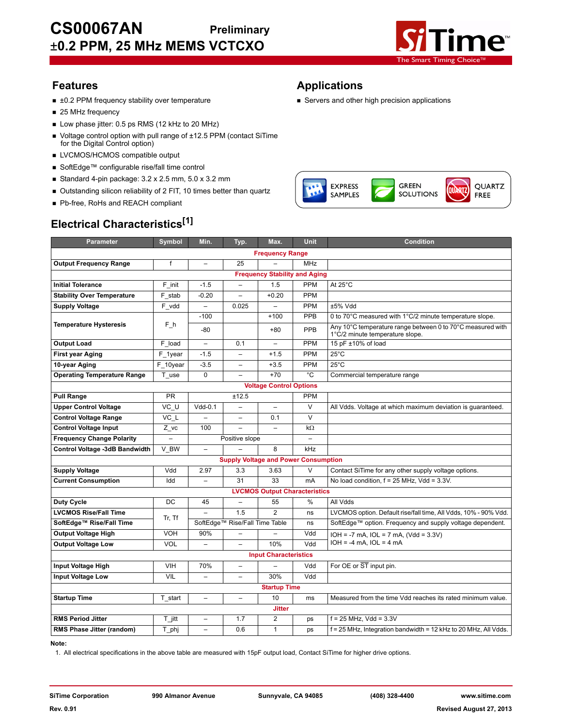

QUARTZ

FREE

- ±0.2 PPM frequency stability over temperature <br>■ Servers and other high precision applications
- 25 MHz frequency
- Low phase jitter: 0.5 ps RMS (12 kHz to 20 MHz)
- Voltage control option with pull range of ±12.5 PPM (contact SiTime for the Digital Control option)
- **LVCMOS/HCMOS compatible output**
- SoftEdge™ configurable rise/fall time control
- Standard 4-pin package:  $3.2 \times 2.5$  mm,  $5.0 \times 3.2$  mm
- Outstanding silicon reliability of 2 FIT, 10 times better than quartz
- Pb-free, RoHs and REACH compliant

# **Electrical Characteristics[1]**

## **Features Applications**

**EXPRESS** 

**SAMPLES** 

GREEN

**SOLUTIONS** 

| Min.<br>Max.<br><b>Unit</b><br><b>Condition</b><br><b>Parameter</b><br>Symbol<br>Typ.<br><b>Frequency Range</b><br>f<br>25<br><b>MHz</b><br><b>Output Frequency Range</b><br>$\overline{\phantom{0}}$<br><b>Frequency Stability and Aging</b><br><b>Initial Tolerance</b><br>F_init<br>$-1.5$<br>1.5<br><b>PPM</b><br>At $25^{\circ}$ C<br>$\overline{\phantom{0}}$<br>PPM<br><b>Stability Over Temperature</b><br>$-0.20$<br>$+0.20$<br>F stab<br><b>Supply Voltage</b><br>PPM<br>±5% Vdd<br>F_vdd<br>$\equiv$<br>0.025<br>$\overline{\phantom{0}}$<br>$-100$<br>PPB<br>0 to 70°C measured with 1°C/2 minute temperature slope.<br>$+100$<br><b>Temperature Hysteresis</b><br>Fh<br>Any 10°C temperature range between 0 to 70°C measured with<br>$-80$<br>PPB<br>$+80$<br>1°C/2 minute temperature slope.<br>PPM<br>15 pF ±10% of load<br><b>Output Load</b><br>F load<br>0.1<br>$\qquad \qquad -$<br>$\overline{\phantom{0}}$<br><b>First year Aging</b><br>$-1.5$<br><b>PPM</b><br>$25^{\circ}$ C<br>F 1year<br>$+1.5$<br>$\overline{\phantom{0}}$<br>$25^{\circ}$ C<br>F 10year<br>$-3.5$<br><b>PPM</b><br>10-year Aging<br>$+3.5$<br>°C<br><b>Operating Temperature Range</b><br>$\Omega$<br>$+70$<br>Commercial temperature range<br>T use<br><b>Voltage Control Options</b><br><b>PR</b><br><b>Pull Range</b><br>±12.5<br><b>PPM</b><br>$VC$ _ $U$<br>$\vee$<br>$Vdd-0.1$<br><b>Upper Control Voltage</b><br>All Vdds. Voltage at which maximum deviation is guaranteed.<br>$\vee$<br><b>Control Voltage Range</b><br>VC L<br>0.1<br><b>Control Voltage Input</b><br>100<br>Z vc<br>$\overline{a}$<br>$\overline{a}$<br>$k\Omega$<br><b>Frequency Change Polarity</b><br>$\overline{a}$<br>Positive slope<br>$\overline{\phantom{0}}$<br>Control Voltage -3dB Bandwidth<br>V BW<br>8<br>kHz<br>$\overline{\phantom{0}}$<br><b>Supply Voltage and Power Consumption</b><br>$\vee$<br><b>Supply Voltage</b><br>Vdd<br>2.97<br>3.3<br>3.63<br>Contact SiTime for any other supply voltage options.<br>No load condition, $f = 25$ MHz, Vdd = $3.3V$ .<br><b>Current Consumption</b><br>Idd<br>31<br>33<br>mA<br>$\overline{\phantom{0}}$<br><b>LVCMOS Output Characteristics</b><br>DC<br>%<br>All Vdds<br><b>Duty Cycle</b><br>55<br>45<br>1.5<br>$\overline{2}$<br>LVCMOS option. Default rise/fall time, All Vdds, 10% - 90% Vdd.<br><b>LVCMOS Rise/Fall Time</b><br>ns<br>Tr, Tf<br>SoftEdge™ Rise/Fall Time<br>SoftEdge™ Rise/Fall Time Table<br>SoftEdge™ option. Frequency and supply voltage dependent.<br>ns<br><b>VOH</b><br><b>Output Voltage High</b><br>90%<br>Vdd<br>$IOH = -7 mA$ , $IOL = 7 mA$ , $(Vdd = 3.3V)$<br>$IOH = -4 mA$ , $IOL = 4 mA$<br><b>VOL</b><br>Vdd<br><b>Output Voltage Low</b><br>10%<br>$\qquad \qquad -$<br>$\overline{\phantom{a}}$<br><b>Input Characteristics</b><br>Input Voltage High<br><b>VIH</b><br>70%<br>Vdd<br>For OE or ST input pin.<br>$\overline{\phantom{0}}$<br>VIL<br>Vdd<br><b>Input Voltage Low</b><br>30%<br>$\overline{\phantom{0}}$<br>$\qquad \qquad -$<br><b>Startup Time</b><br><b>Startup Time</b><br>Measured from the time Vdd reaches its rated minimum value.<br>10<br>T start<br>ms<br>$\overline{\phantom{0}}$<br>$\qquad \qquad -$<br><b>Jitter</b><br><b>RMS Period Jitter</b><br>T_jitt<br>1.7<br>$\overline{2}$<br>$f = 25$ MHz, Vdd = $3.3V$<br>ps<br>$\overline{\phantom{0}}$<br>$\mathbf{1}$<br>f = 25 MHz, Integration bandwidth = 12 kHz to 20 MHz, All Vdds.<br>RMS Phase Jitter (random)<br>T phj<br>0.6<br>$\overline{\phantom{0}}$<br>ps | LIGULIUAI UIIAI AULGI ISLIUS |  |  |  |  |  |  |  |
|-----------------------------------------------------------------------------------------------------------------------------------------------------------------------------------------------------------------------------------------------------------------------------------------------------------------------------------------------------------------------------------------------------------------------------------------------------------------------------------------------------------------------------------------------------------------------------------------------------------------------------------------------------------------------------------------------------------------------------------------------------------------------------------------------------------------------------------------------------------------------------------------------------------------------------------------------------------------------------------------------------------------------------------------------------------------------------------------------------------------------------------------------------------------------------------------------------------------------------------------------------------------------------------------------------------------------------------------------------------------------------------------------------------------------------------------------------------------------------------------------------------------------------------------------------------------------------------------------------------------------------------------------------------------------------------------------------------------------------------------------------------------------------------------------------------------------------------------------------------------------------------------------------------------------------------------------------------------------------------------------------------------------------------------------------------------------------------------------------------------------------------------------------------------------------------------------------------------------------------------------------------------------------------------------------------------------------------------------------------------------------------------------------------------------------------------------------------------------------------------------------------------------------------------------------------------------------------------------------------------------------------------------------------------------------------------------------------------------------------------------------------------------------------------------------------------------------------------------------------------------------------------------------------------------------------------------------------------------------------------------------------------------------------------------------------------------------------------------------------------------------------------------------------------------------------------------------------------------------------------------------------------------------------------------------------------------------------------------------------------------------------------------------------------------------------------------------------------------------------------------------------------------------------|------------------------------|--|--|--|--|--|--|--|
|                                                                                                                                                                                                                                                                                                                                                                                                                                                                                                                                                                                                                                                                                                                                                                                                                                                                                                                                                                                                                                                                                                                                                                                                                                                                                                                                                                                                                                                                                                                                                                                                                                                                                                                                                                                                                                                                                                                                                                                                                                                                                                                                                                                                                                                                                                                                                                                                                                                                                                                                                                                                                                                                                                                                                                                                                                                                                                                                                                                                                                                                                                                                                                                                                                                                                                                                                                                                                                                                                                                                   |                              |  |  |  |  |  |  |  |
|                                                                                                                                                                                                                                                                                                                                                                                                                                                                                                                                                                                                                                                                                                                                                                                                                                                                                                                                                                                                                                                                                                                                                                                                                                                                                                                                                                                                                                                                                                                                                                                                                                                                                                                                                                                                                                                                                                                                                                                                                                                                                                                                                                                                                                                                                                                                                                                                                                                                                                                                                                                                                                                                                                                                                                                                                                                                                                                                                                                                                                                                                                                                                                                                                                                                                                                                                                                                                                                                                                                                   |                              |  |  |  |  |  |  |  |
|                                                                                                                                                                                                                                                                                                                                                                                                                                                                                                                                                                                                                                                                                                                                                                                                                                                                                                                                                                                                                                                                                                                                                                                                                                                                                                                                                                                                                                                                                                                                                                                                                                                                                                                                                                                                                                                                                                                                                                                                                                                                                                                                                                                                                                                                                                                                                                                                                                                                                                                                                                                                                                                                                                                                                                                                                                                                                                                                                                                                                                                                                                                                                                                                                                                                                                                                                                                                                                                                                                                                   |                              |  |  |  |  |  |  |  |
|                                                                                                                                                                                                                                                                                                                                                                                                                                                                                                                                                                                                                                                                                                                                                                                                                                                                                                                                                                                                                                                                                                                                                                                                                                                                                                                                                                                                                                                                                                                                                                                                                                                                                                                                                                                                                                                                                                                                                                                                                                                                                                                                                                                                                                                                                                                                                                                                                                                                                                                                                                                                                                                                                                                                                                                                                                                                                                                                                                                                                                                                                                                                                                                                                                                                                                                                                                                                                                                                                                                                   |                              |  |  |  |  |  |  |  |
|                                                                                                                                                                                                                                                                                                                                                                                                                                                                                                                                                                                                                                                                                                                                                                                                                                                                                                                                                                                                                                                                                                                                                                                                                                                                                                                                                                                                                                                                                                                                                                                                                                                                                                                                                                                                                                                                                                                                                                                                                                                                                                                                                                                                                                                                                                                                                                                                                                                                                                                                                                                                                                                                                                                                                                                                                                                                                                                                                                                                                                                                                                                                                                                                                                                                                                                                                                                                                                                                                                                                   |                              |  |  |  |  |  |  |  |
|                                                                                                                                                                                                                                                                                                                                                                                                                                                                                                                                                                                                                                                                                                                                                                                                                                                                                                                                                                                                                                                                                                                                                                                                                                                                                                                                                                                                                                                                                                                                                                                                                                                                                                                                                                                                                                                                                                                                                                                                                                                                                                                                                                                                                                                                                                                                                                                                                                                                                                                                                                                                                                                                                                                                                                                                                                                                                                                                                                                                                                                                                                                                                                                                                                                                                                                                                                                                                                                                                                                                   |                              |  |  |  |  |  |  |  |
|                                                                                                                                                                                                                                                                                                                                                                                                                                                                                                                                                                                                                                                                                                                                                                                                                                                                                                                                                                                                                                                                                                                                                                                                                                                                                                                                                                                                                                                                                                                                                                                                                                                                                                                                                                                                                                                                                                                                                                                                                                                                                                                                                                                                                                                                                                                                                                                                                                                                                                                                                                                                                                                                                                                                                                                                                                                                                                                                                                                                                                                                                                                                                                                                                                                                                                                                                                                                                                                                                                                                   |                              |  |  |  |  |  |  |  |
|                                                                                                                                                                                                                                                                                                                                                                                                                                                                                                                                                                                                                                                                                                                                                                                                                                                                                                                                                                                                                                                                                                                                                                                                                                                                                                                                                                                                                                                                                                                                                                                                                                                                                                                                                                                                                                                                                                                                                                                                                                                                                                                                                                                                                                                                                                                                                                                                                                                                                                                                                                                                                                                                                                                                                                                                                                                                                                                                                                                                                                                                                                                                                                                                                                                                                                                                                                                                                                                                                                                                   |                              |  |  |  |  |  |  |  |
|                                                                                                                                                                                                                                                                                                                                                                                                                                                                                                                                                                                                                                                                                                                                                                                                                                                                                                                                                                                                                                                                                                                                                                                                                                                                                                                                                                                                                                                                                                                                                                                                                                                                                                                                                                                                                                                                                                                                                                                                                                                                                                                                                                                                                                                                                                                                                                                                                                                                                                                                                                                                                                                                                                                                                                                                                                                                                                                                                                                                                                                                                                                                                                                                                                                                                                                                                                                                                                                                                                                                   |                              |  |  |  |  |  |  |  |
|                                                                                                                                                                                                                                                                                                                                                                                                                                                                                                                                                                                                                                                                                                                                                                                                                                                                                                                                                                                                                                                                                                                                                                                                                                                                                                                                                                                                                                                                                                                                                                                                                                                                                                                                                                                                                                                                                                                                                                                                                                                                                                                                                                                                                                                                                                                                                                                                                                                                                                                                                                                                                                                                                                                                                                                                                                                                                                                                                                                                                                                                                                                                                                                                                                                                                                                                                                                                                                                                                                                                   |                              |  |  |  |  |  |  |  |
|                                                                                                                                                                                                                                                                                                                                                                                                                                                                                                                                                                                                                                                                                                                                                                                                                                                                                                                                                                                                                                                                                                                                                                                                                                                                                                                                                                                                                                                                                                                                                                                                                                                                                                                                                                                                                                                                                                                                                                                                                                                                                                                                                                                                                                                                                                                                                                                                                                                                                                                                                                                                                                                                                                                                                                                                                                                                                                                                                                                                                                                                                                                                                                                                                                                                                                                                                                                                                                                                                                                                   |                              |  |  |  |  |  |  |  |
|                                                                                                                                                                                                                                                                                                                                                                                                                                                                                                                                                                                                                                                                                                                                                                                                                                                                                                                                                                                                                                                                                                                                                                                                                                                                                                                                                                                                                                                                                                                                                                                                                                                                                                                                                                                                                                                                                                                                                                                                                                                                                                                                                                                                                                                                                                                                                                                                                                                                                                                                                                                                                                                                                                                                                                                                                                                                                                                                                                                                                                                                                                                                                                                                                                                                                                                                                                                                                                                                                                                                   |                              |  |  |  |  |  |  |  |
|                                                                                                                                                                                                                                                                                                                                                                                                                                                                                                                                                                                                                                                                                                                                                                                                                                                                                                                                                                                                                                                                                                                                                                                                                                                                                                                                                                                                                                                                                                                                                                                                                                                                                                                                                                                                                                                                                                                                                                                                                                                                                                                                                                                                                                                                                                                                                                                                                                                                                                                                                                                                                                                                                                                                                                                                                                                                                                                                                                                                                                                                                                                                                                                                                                                                                                                                                                                                                                                                                                                                   |                              |  |  |  |  |  |  |  |
|                                                                                                                                                                                                                                                                                                                                                                                                                                                                                                                                                                                                                                                                                                                                                                                                                                                                                                                                                                                                                                                                                                                                                                                                                                                                                                                                                                                                                                                                                                                                                                                                                                                                                                                                                                                                                                                                                                                                                                                                                                                                                                                                                                                                                                                                                                                                                                                                                                                                                                                                                                                                                                                                                                                                                                                                                                                                                                                                                                                                                                                                                                                                                                                                                                                                                                                                                                                                                                                                                                                                   |                              |  |  |  |  |  |  |  |
|                                                                                                                                                                                                                                                                                                                                                                                                                                                                                                                                                                                                                                                                                                                                                                                                                                                                                                                                                                                                                                                                                                                                                                                                                                                                                                                                                                                                                                                                                                                                                                                                                                                                                                                                                                                                                                                                                                                                                                                                                                                                                                                                                                                                                                                                                                                                                                                                                                                                                                                                                                                                                                                                                                                                                                                                                                                                                                                                                                                                                                                                                                                                                                                                                                                                                                                                                                                                                                                                                                                                   |                              |  |  |  |  |  |  |  |
|                                                                                                                                                                                                                                                                                                                                                                                                                                                                                                                                                                                                                                                                                                                                                                                                                                                                                                                                                                                                                                                                                                                                                                                                                                                                                                                                                                                                                                                                                                                                                                                                                                                                                                                                                                                                                                                                                                                                                                                                                                                                                                                                                                                                                                                                                                                                                                                                                                                                                                                                                                                                                                                                                                                                                                                                                                                                                                                                                                                                                                                                                                                                                                                                                                                                                                                                                                                                                                                                                                                                   |                              |  |  |  |  |  |  |  |
|                                                                                                                                                                                                                                                                                                                                                                                                                                                                                                                                                                                                                                                                                                                                                                                                                                                                                                                                                                                                                                                                                                                                                                                                                                                                                                                                                                                                                                                                                                                                                                                                                                                                                                                                                                                                                                                                                                                                                                                                                                                                                                                                                                                                                                                                                                                                                                                                                                                                                                                                                                                                                                                                                                                                                                                                                                                                                                                                                                                                                                                                                                                                                                                                                                                                                                                                                                                                                                                                                                                                   |                              |  |  |  |  |  |  |  |
|                                                                                                                                                                                                                                                                                                                                                                                                                                                                                                                                                                                                                                                                                                                                                                                                                                                                                                                                                                                                                                                                                                                                                                                                                                                                                                                                                                                                                                                                                                                                                                                                                                                                                                                                                                                                                                                                                                                                                                                                                                                                                                                                                                                                                                                                                                                                                                                                                                                                                                                                                                                                                                                                                                                                                                                                                                                                                                                                                                                                                                                                                                                                                                                                                                                                                                                                                                                                                                                                                                                                   |                              |  |  |  |  |  |  |  |
|                                                                                                                                                                                                                                                                                                                                                                                                                                                                                                                                                                                                                                                                                                                                                                                                                                                                                                                                                                                                                                                                                                                                                                                                                                                                                                                                                                                                                                                                                                                                                                                                                                                                                                                                                                                                                                                                                                                                                                                                                                                                                                                                                                                                                                                                                                                                                                                                                                                                                                                                                                                                                                                                                                                                                                                                                                                                                                                                                                                                                                                                                                                                                                                                                                                                                                                                                                                                                                                                                                                                   |                              |  |  |  |  |  |  |  |
|                                                                                                                                                                                                                                                                                                                                                                                                                                                                                                                                                                                                                                                                                                                                                                                                                                                                                                                                                                                                                                                                                                                                                                                                                                                                                                                                                                                                                                                                                                                                                                                                                                                                                                                                                                                                                                                                                                                                                                                                                                                                                                                                                                                                                                                                                                                                                                                                                                                                                                                                                                                                                                                                                                                                                                                                                                                                                                                                                                                                                                                                                                                                                                                                                                                                                                                                                                                                                                                                                                                                   |                              |  |  |  |  |  |  |  |
|                                                                                                                                                                                                                                                                                                                                                                                                                                                                                                                                                                                                                                                                                                                                                                                                                                                                                                                                                                                                                                                                                                                                                                                                                                                                                                                                                                                                                                                                                                                                                                                                                                                                                                                                                                                                                                                                                                                                                                                                                                                                                                                                                                                                                                                                                                                                                                                                                                                                                                                                                                                                                                                                                                                                                                                                                                                                                                                                                                                                                                                                                                                                                                                                                                                                                                                                                                                                                                                                                                                                   |                              |  |  |  |  |  |  |  |
|                                                                                                                                                                                                                                                                                                                                                                                                                                                                                                                                                                                                                                                                                                                                                                                                                                                                                                                                                                                                                                                                                                                                                                                                                                                                                                                                                                                                                                                                                                                                                                                                                                                                                                                                                                                                                                                                                                                                                                                                                                                                                                                                                                                                                                                                                                                                                                                                                                                                                                                                                                                                                                                                                                                                                                                                                                                                                                                                                                                                                                                                                                                                                                                                                                                                                                                                                                                                                                                                                                                                   |                              |  |  |  |  |  |  |  |
|                                                                                                                                                                                                                                                                                                                                                                                                                                                                                                                                                                                                                                                                                                                                                                                                                                                                                                                                                                                                                                                                                                                                                                                                                                                                                                                                                                                                                                                                                                                                                                                                                                                                                                                                                                                                                                                                                                                                                                                                                                                                                                                                                                                                                                                                                                                                                                                                                                                                                                                                                                                                                                                                                                                                                                                                                                                                                                                                                                                                                                                                                                                                                                                                                                                                                                                                                                                                                                                                                                                                   |                              |  |  |  |  |  |  |  |
|                                                                                                                                                                                                                                                                                                                                                                                                                                                                                                                                                                                                                                                                                                                                                                                                                                                                                                                                                                                                                                                                                                                                                                                                                                                                                                                                                                                                                                                                                                                                                                                                                                                                                                                                                                                                                                                                                                                                                                                                                                                                                                                                                                                                                                                                                                                                                                                                                                                                                                                                                                                                                                                                                                                                                                                                                                                                                                                                                                                                                                                                                                                                                                                                                                                                                                                                                                                                                                                                                                                                   |                              |  |  |  |  |  |  |  |
|                                                                                                                                                                                                                                                                                                                                                                                                                                                                                                                                                                                                                                                                                                                                                                                                                                                                                                                                                                                                                                                                                                                                                                                                                                                                                                                                                                                                                                                                                                                                                                                                                                                                                                                                                                                                                                                                                                                                                                                                                                                                                                                                                                                                                                                                                                                                                                                                                                                                                                                                                                                                                                                                                                                                                                                                                                                                                                                                                                                                                                                                                                                                                                                                                                                                                                                                                                                                                                                                                                                                   |                              |  |  |  |  |  |  |  |
|                                                                                                                                                                                                                                                                                                                                                                                                                                                                                                                                                                                                                                                                                                                                                                                                                                                                                                                                                                                                                                                                                                                                                                                                                                                                                                                                                                                                                                                                                                                                                                                                                                                                                                                                                                                                                                                                                                                                                                                                                                                                                                                                                                                                                                                                                                                                                                                                                                                                                                                                                                                                                                                                                                                                                                                                                                                                                                                                                                                                                                                                                                                                                                                                                                                                                                                                                                                                                                                                                                                                   |                              |  |  |  |  |  |  |  |
|                                                                                                                                                                                                                                                                                                                                                                                                                                                                                                                                                                                                                                                                                                                                                                                                                                                                                                                                                                                                                                                                                                                                                                                                                                                                                                                                                                                                                                                                                                                                                                                                                                                                                                                                                                                                                                                                                                                                                                                                                                                                                                                                                                                                                                                                                                                                                                                                                                                                                                                                                                                                                                                                                                                                                                                                                                                                                                                                                                                                                                                                                                                                                                                                                                                                                                                                                                                                                                                                                                                                   |                              |  |  |  |  |  |  |  |
|                                                                                                                                                                                                                                                                                                                                                                                                                                                                                                                                                                                                                                                                                                                                                                                                                                                                                                                                                                                                                                                                                                                                                                                                                                                                                                                                                                                                                                                                                                                                                                                                                                                                                                                                                                                                                                                                                                                                                                                                                                                                                                                                                                                                                                                                                                                                                                                                                                                                                                                                                                                                                                                                                                                                                                                                                                                                                                                                                                                                                                                                                                                                                                                                                                                                                                                                                                                                                                                                                                                                   |                              |  |  |  |  |  |  |  |
|                                                                                                                                                                                                                                                                                                                                                                                                                                                                                                                                                                                                                                                                                                                                                                                                                                                                                                                                                                                                                                                                                                                                                                                                                                                                                                                                                                                                                                                                                                                                                                                                                                                                                                                                                                                                                                                                                                                                                                                                                                                                                                                                                                                                                                                                                                                                                                                                                                                                                                                                                                                                                                                                                                                                                                                                                                                                                                                                                                                                                                                                                                                                                                                                                                                                                                                                                                                                                                                                                                                                   |                              |  |  |  |  |  |  |  |
|                                                                                                                                                                                                                                                                                                                                                                                                                                                                                                                                                                                                                                                                                                                                                                                                                                                                                                                                                                                                                                                                                                                                                                                                                                                                                                                                                                                                                                                                                                                                                                                                                                                                                                                                                                                                                                                                                                                                                                                                                                                                                                                                                                                                                                                                                                                                                                                                                                                                                                                                                                                                                                                                                                                                                                                                                                                                                                                                                                                                                                                                                                                                                                                                                                                                                                                                                                                                                                                                                                                                   |                              |  |  |  |  |  |  |  |
|                                                                                                                                                                                                                                                                                                                                                                                                                                                                                                                                                                                                                                                                                                                                                                                                                                                                                                                                                                                                                                                                                                                                                                                                                                                                                                                                                                                                                                                                                                                                                                                                                                                                                                                                                                                                                                                                                                                                                                                                                                                                                                                                                                                                                                                                                                                                                                                                                                                                                                                                                                                                                                                                                                                                                                                                                                                                                                                                                                                                                                                                                                                                                                                                                                                                                                                                                                                                                                                                                                                                   |                              |  |  |  |  |  |  |  |
|                                                                                                                                                                                                                                                                                                                                                                                                                                                                                                                                                                                                                                                                                                                                                                                                                                                                                                                                                                                                                                                                                                                                                                                                                                                                                                                                                                                                                                                                                                                                                                                                                                                                                                                                                                                                                                                                                                                                                                                                                                                                                                                                                                                                                                                                                                                                                                                                                                                                                                                                                                                                                                                                                                                                                                                                                                                                                                                                                                                                                                                                                                                                                                                                                                                                                                                                                                                                                                                                                                                                   |                              |  |  |  |  |  |  |  |
|                                                                                                                                                                                                                                                                                                                                                                                                                                                                                                                                                                                                                                                                                                                                                                                                                                                                                                                                                                                                                                                                                                                                                                                                                                                                                                                                                                                                                                                                                                                                                                                                                                                                                                                                                                                                                                                                                                                                                                                                                                                                                                                                                                                                                                                                                                                                                                                                                                                                                                                                                                                                                                                                                                                                                                                                                                                                                                                                                                                                                                                                                                                                                                                                                                                                                                                                                                                                                                                                                                                                   |                              |  |  |  |  |  |  |  |
|                                                                                                                                                                                                                                                                                                                                                                                                                                                                                                                                                                                                                                                                                                                                                                                                                                                                                                                                                                                                                                                                                                                                                                                                                                                                                                                                                                                                                                                                                                                                                                                                                                                                                                                                                                                                                                                                                                                                                                                                                                                                                                                                                                                                                                                                                                                                                                                                                                                                                                                                                                                                                                                                                                                                                                                                                                                                                                                                                                                                                                                                                                                                                                                                                                                                                                                                                                                                                                                                                                                                   |                              |  |  |  |  |  |  |  |
|                                                                                                                                                                                                                                                                                                                                                                                                                                                                                                                                                                                                                                                                                                                                                                                                                                                                                                                                                                                                                                                                                                                                                                                                                                                                                                                                                                                                                                                                                                                                                                                                                                                                                                                                                                                                                                                                                                                                                                                                                                                                                                                                                                                                                                                                                                                                                                                                                                                                                                                                                                                                                                                                                                                                                                                                                                                                                                                                                                                                                                                                                                                                                                                                                                                                                                                                                                                                                                                                                                                                   |                              |  |  |  |  |  |  |  |
|                                                                                                                                                                                                                                                                                                                                                                                                                                                                                                                                                                                                                                                                                                                                                                                                                                                                                                                                                                                                                                                                                                                                                                                                                                                                                                                                                                                                                                                                                                                                                                                                                                                                                                                                                                                                                                                                                                                                                                                                                                                                                                                                                                                                                                                                                                                                                                                                                                                                                                                                                                                                                                                                                                                                                                                                                                                                                                                                                                                                                                                                                                                                                                                                                                                                                                                                                                                                                                                                                                                                   |                              |  |  |  |  |  |  |  |
|                                                                                                                                                                                                                                                                                                                                                                                                                                                                                                                                                                                                                                                                                                                                                                                                                                                                                                                                                                                                                                                                                                                                                                                                                                                                                                                                                                                                                                                                                                                                                                                                                                                                                                                                                                                                                                                                                                                                                                                                                                                                                                                                                                                                                                                                                                                                                                                                                                                                                                                                                                                                                                                                                                                                                                                                                                                                                                                                                                                                                                                                                                                                                                                                                                                                                                                                                                                                                                                                                                                                   |                              |  |  |  |  |  |  |  |

#### **Note:**

1. All electrical specifications in the above table are measured with 15pF output load, Contact SiTime for higher drive options.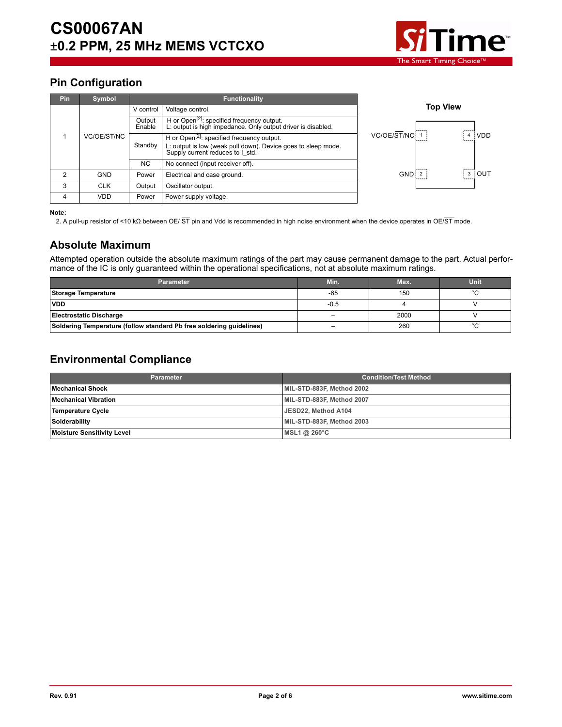

 $\sqrt{4}$  VDD

 $\sqrt{3}$  OUT

## **Pin Configuration**

| <b>Pin</b> | Symbol      |                                  | <b>Functionality</b>                                                                                                                                        |                 |
|------------|-------------|----------------------------------|-------------------------------------------------------------------------------------------------------------------------------------------------------------|-----------------|
|            |             | V control                        | Voltage control.                                                                                                                                            | <b>Top View</b> |
|            |             | Output<br>Enable                 | H or Open <sup>[2]</sup> : specified frequency output.<br>L: output is high impedance. Only output driver is disabled.                                      |                 |
|            | VC/OE/ST/NC | Standby                          | H or Open <sup>[2]</sup> : specified frequency output.<br>L: output is low (weak pull down). Device goes to sleep mode.<br>Supply current reduces to I_std. | VC/OE/ST/NC     |
|            | NC.         | No connect (input receiver off). |                                                                                                                                                             |                 |
| 2          | <b>GND</b>  | Power                            | Electrical and case ground.                                                                                                                                 | <b>GND</b>      |
| 3          | <b>CLK</b>  | Output                           | Oscillator output.                                                                                                                                          |                 |
| 4          | <b>VDD</b>  | Power                            | Power supply voltage.                                                                                                                                       |                 |

#### **Note:**

2. A pull-up resistor of <10 kΩ between OE/ ST pin and Vdd is recommended in high noise environment when the device operates in OE/ST mode.

#### **Absolute Maximum**

Attempted operation outside the absolute maximum ratings of the part may cause permanent damage to the part. Actual performance of the IC is only guaranteed within the operational specifications, not at absolute maximum ratings.

| <b>Parameter</b>                                                     | Min.                     | Max. | <b>Unit</b> |
|----------------------------------------------------------------------|--------------------------|------|-------------|
| Storage Temperature                                                  | $-65$                    | 150  |             |
| <b>VDD</b>                                                           | $-0.5$                   |      |             |
| <b>Electrostatic Discharge</b>                                       | $\overline{\phantom{0}}$ | 2000 |             |
| Soldering Temperature (follow standard Pb free soldering guidelines) | -                        | 260  |             |

#### **Environmental Compliance**

| <b>Parameter</b>                  | <b>Condition/Test Method</b> |
|-----------------------------------|------------------------------|
| Mechanical Shock                  | MIL-STD-883F, Method 2002    |
| l Mechanical Vibration            | MIL-STD-883F, Method 2007    |
| Temperature Cycle                 | JESD22, Method A104          |
| Solderability                     | MIL-STD-883F, Method 2003    |
| <b>Moisture Sensitivity Level</b> | MSL1 @ 260°C                 |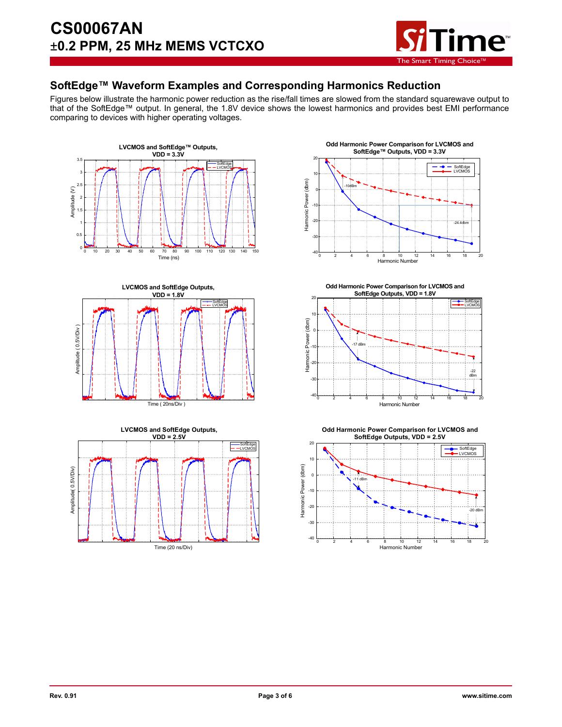

#### **SoftEdge™ Waveform Examples and Corresponding Harmonics Reduction**

Figures below illustrate the harmonic power reduction as the rise/fall times are slowed from the standard squarewave output to that of the SoftEdge™ output. In general, the 1.8V device shows the lowest harmonics and provides best EMI performance comparing to devices with higher operating voltages.











**Odd Harmonic Power Comparison for LVCMOS and SoftEdge Outputs, VDD = 2.5V**

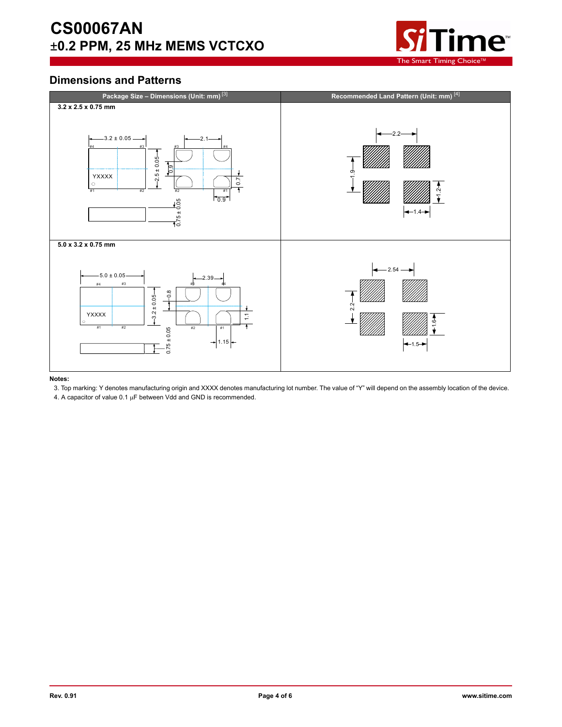# **CS00067AN** ±**0.2 PPM, 25 MHz MEMS VCTCXO**



### **Dimensions and Patterns**



**Notes:** 

3. Top marking: Y denotes manufacturing origin and XXXX denotes manufacturing lot number. The value of "Y" will depend on the assembly location of the device.

4. A capacitor of value  $0.1 \mu F$  between Vdd and GND is recommended.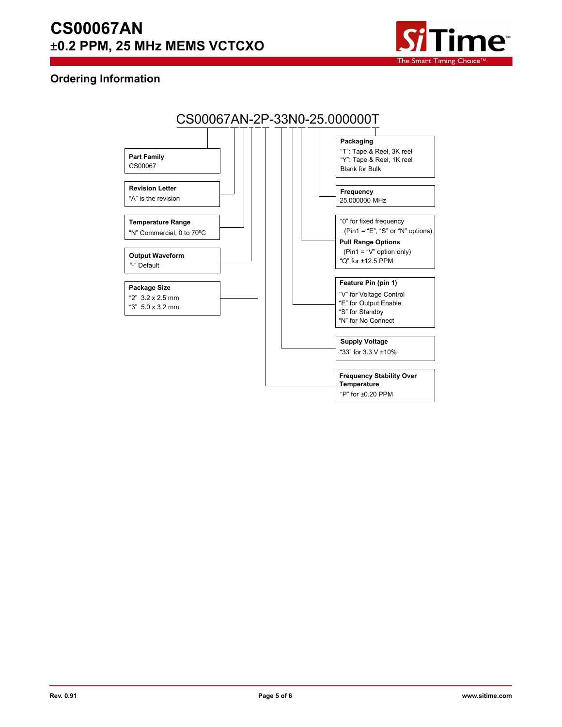# **CS00067AN** ±**0.2 PPM, 25 MHz MEMS VCTCXO**



#### **Ordering Information**